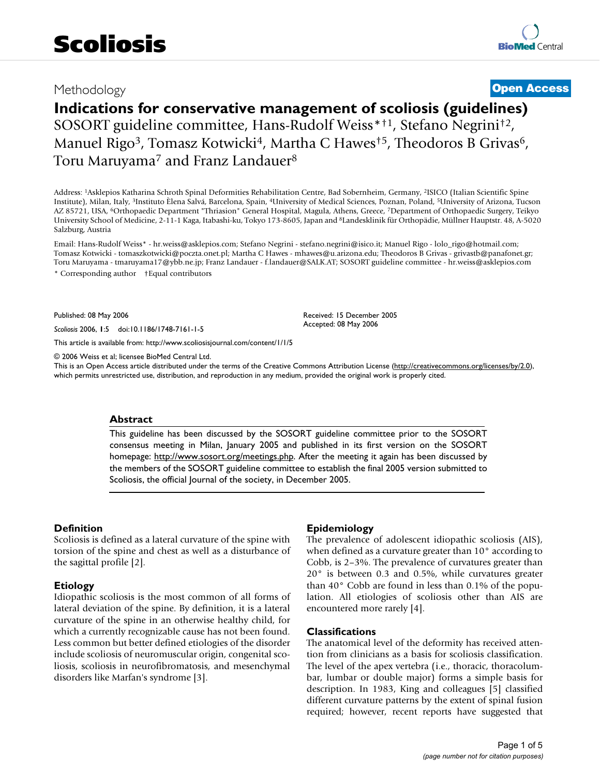# Methodology **[Open Access](http://www.biomedcentral.com/info/about/charter/)**

# **Indications for conservative management of scoliosis (guidelines)** SOSORT guideline committee, Hans-Rudolf Weiss\*†1, Stefano Negrini†2, Manuel Rigo<sup>3</sup>, Tomasz Kotwicki<sup>4</sup>, Martha C Hawes<sup>†5</sup>, Theodoros B Grivas<sup>6</sup>, Toru Maruyama<sup>7</sup> and Franz Landauer<sup>8</sup>

Address: 1Asklepios Katharina Schroth Spinal Deformities Rehabilitation Centre, Bad Sobernheim, Germany, 2ISICO (Italian Scientific Spine Institute), Milan, Italy, 3Instituto Èlena Salvá, Barcelona, Spain, 4University of Medical Sciences, Poznan, Poland, 5University of Arizona, Tucson AZ 85721, USA, 6Orthopaedic Department "Thriasion" General Hospital, Magula, Athens, Greece, 7Department of Orthopaedic Surgery, Teikyo University School of Medicine, 2-11-1 Kaga, Itabashi-ku, Tokyo 173-8605, Japan and 8Landesklinik für Orthopädie, Müllner Hauptstr. 48, A-5020 Salzburg, Austria

Email: Hans-Rudolf Weiss\* - hr.weiss@asklepios.com; Stefano Negrini - stefano.negrini@isico.it; Manuel Rigo - lolo\_rigo@hotmail.com; Tomasz Kotwicki - tomaszkotwicki@poczta.onet.pl; Martha C Hawes - mhawes@u.arizona.edu; Theodoros B Grivas - grivastb@panafonet.gr; Toru Maruyama - tmaruyama17@ybb.ne.jp; Franz Landauer - f.landauer@SALK.AT; SOSORT guideline committee - hr.weiss@asklepios.com \* Corresponding author †Equal contributors

Published: 08 May 2006

*Scoliosis* 2006, **1**:5 doi:10.1186/1748-7161-1-5

[This article is available from: http://www.scoliosisjournal.com/content/1/1/5](http://www.scoliosisjournal.com/content/1/1/5)

© 2006 Weiss et al; licensee BioMed Central Ltd.

This is an Open Access article distributed under the terms of the Creative Commons Attribution License [\(http://creativecommons.org/licenses/by/2.0\)](http://creativecommons.org/licenses/by/2.0), which permits unrestricted use, distribution, and reproduction in any medium, provided the original work is properly cited.

# **Abstract**

[This guideline has been discussed by the SOSORT guideline committee prior to the SOSORT](http://www.sosort.org/meetings.php) [consensus meeting in Milan, January 2005 and published in its first version on the SOSORT](http://www.sosort.org/meetings.php) [homepage:](http://www.sosort.org/meetings.php) http://www.sosort.org/meetings.php. After the meeting it again has been discussed by the members of the SOSORT guideline committee to establish the final 2005 version submitted to Scoliosis, the official Journal of the society, in December 2005.

# **Definition**

Scoliosis is defined as a lateral curvature of the spine with torsion of the spine and chest as well as a disturbance of the sagittal profile [2].

# **Etiology**

Idiopathic scoliosis is the most common of all forms of lateral deviation of the spine. By definition, it is a lateral curvature of the spine in an otherwise healthy child, for which a currently recognizable cause has not been found. Less common but better defined etiologies of the disorder include scoliosis of neuromuscular origin, congenital scoliosis, scoliosis in neurofibromatosis, and mesenchymal disorders like Marfan's syndrome [3].

# **Epidemiology**

Received: 15 December 2005 Accepted: 08 May 2006

The prevalence of adolescent idiopathic scoliosis (AIS), when defined as a curvature greater than 10° according to Cobb, is 2–3%. The prevalence of curvatures greater than 20° is between 0.3 and 0.5%, while curvatures greater than 40° Cobb are found in less than 0.1% of the population. All etiologies of scoliosis other than AIS are encountered more rarely [4].

# **Classifications**

The anatomical level of the deformity has received attention from clinicians as a basis for scoliosis classification. The level of the apex vertebra (i.e., thoracic, thoracolumbar, lumbar or double major) forms a simple basis for description. In 1983, King and colleagues [5] classified different curvature patterns by the extent of spinal fusion required; however, recent reports have suggested that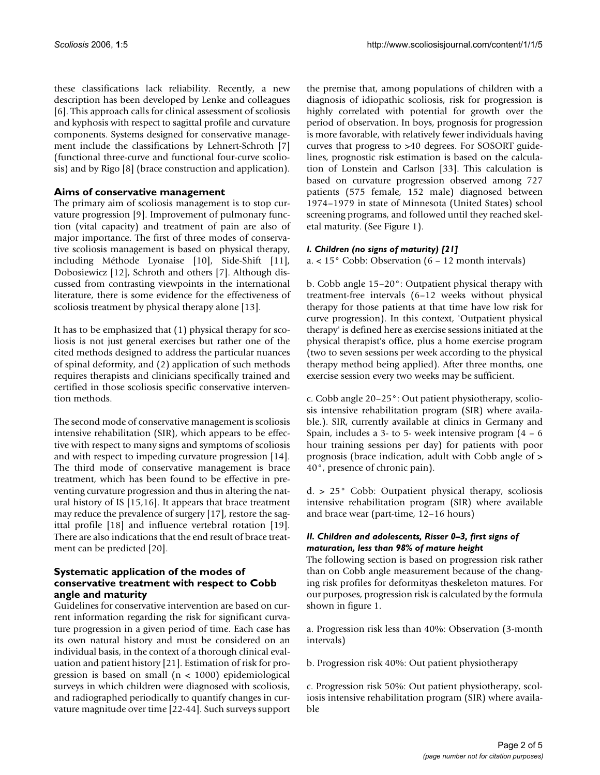these classifications lack reliability. Recently, a new description has been developed by Lenke and colleagues [6]. This approach calls for clinical assessment of scoliosis and kyphosis with respect to sagittal profile and curvature components. Systems designed for conservative management include the classifications by Lehnert-Schroth [7] (functional three-curve and functional four-curve scoliosis) and by Rigo [8] (brace construction and application).

# **Aims of conservative management**

The primary aim of scoliosis management is to stop curvature progression [9]. Improvement of pulmonary function (vital capacity) and treatment of pain are also of major importance. The first of three modes of conservative scoliosis management is based on physical therapy, including Méthode Lyonaise [10], Side-Shift [11], Dobosiewicz [12], Schroth and others [7]. Although discussed from contrasting viewpoints in the international literature, there is some evidence for the effectiveness of scoliosis treatment by physical therapy alone [13].

It has to be emphasized that (1) physical therapy for scoliosis is not just general exercises but rather one of the cited methods designed to address the particular nuances of spinal deformity, and (2) application of such methods requires therapists and clinicians specifically trained and certified in those scoliosis specific conservative intervention methods.

The second mode of conservative management is scoliosis intensive rehabilitation (SIR), which appears to be effective with respect to many signs and symptoms of scoliosis and with respect to impeding curvature progression [14]. The third mode of conservative management is brace treatment, which has been found to be effective in preventing curvature progression and thus in altering the natural history of IS [15,16]. It appears that brace treatment may reduce the prevalence of surgery [17], restore the sagittal profile [18] and influence vertebral rotation [19]. There are also indications that the end result of brace treatment can be predicted [20].

# **Systematic application of the modes of conservative treatment with respect to Cobb angle and maturity**

Guidelines for conservative intervention are based on current information regarding the risk for significant curvature progression in a given period of time. Each case has its own natural history and must be considered on an individual basis, in the context of a thorough clinical evaluation and patient history [21]. Estimation of risk for progression is based on small (n < 1000) epidemiological surveys in which children were diagnosed with scoliosis, and radiographed periodically to quantify changes in curvature magnitude over time [22-44]. Such surveys support

the premise that, among populations of children with a diagnosis of idiopathic scoliosis, risk for progression is highly correlated with potential for growth over the period of observation. In boys, prognosis for progression is more favorable, with relatively fewer individuals having curves that progress to >40 degrees. For SOSORT guidelines, prognostic risk estimation is based on the calculation of Lonstein and Carlson [33]. This calculation is based on curvature progression observed among 727 patients (575 female, 152 male) diagnosed between 1974–1979 in state of Minnesota (United States) school screening programs, and followed until they reached skeletal maturity. (See Figure 1).

# *I. Children (no signs of maturity) [21]*

a. < 15° Cobb: Observation (6 – 12 month intervals)

b. Cobb angle 15–20°: Outpatient physical therapy with treatment-free intervals (6–12 weeks without physical therapy for those patients at that time have low risk for curve progression). In this context, 'Outpatient physical therapy' is defined here as exercise sessions initiated at the physical therapist's office, plus a home exercise program (two to seven sessions per week according to the physical therapy method being applied). After three months, one exercise session every two weeks may be sufficient.

c. Cobb angle 20–25°: Out patient physiotherapy, scoliosis intensive rehabilitation program (SIR) where available.). SIR, currently available at clinics in Germany and Spain, includes a 3- to 5- week intensive program  $(4 - 6)$ hour training sessions per day) for patients with poor prognosis (brace indication, adult with Cobb angle of > 40°, presence of chronic pain).

d. > 25° Cobb: Outpatient physical therapy, scoliosis intensive rehabilitation program (SIR) where available and brace wear (part-time, 12–16 hours)

# *II. Children and adolescents, Risser 0–3, first signs of maturation, less than 98% of mature height*

The following section is based on progression risk rather than on Cobb angle measurement because of the changing risk profiles for deformityas theskeleton matures. For our purposes, progression risk is calculated by the formula shown in figure 1.

a. Progression risk less than 40%: Observation (3-month intervals)

b. Progression risk 40%: Out patient physiotherapy

c. Progression risk 50%: Out patient physiotherapy, scoliosis intensive rehabilitation program (SIR) where available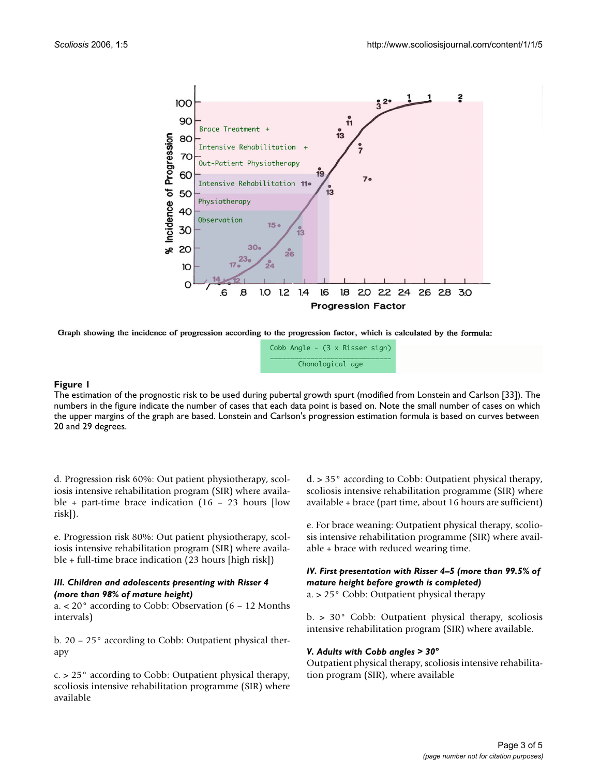

Graph showing the incidence of progression according to the progression factor, which is calculated by the formula:

|                  | Cobb Angle - (3 x Risser sign) |  |  |  |  |  |
|------------------|--------------------------------|--|--|--|--|--|
| Chonological age |                                |  |  |  |  |  |

# The estimation of the prognostic risk to **Figure 1** be used during pubertal growth spurt (modified from Lonstein and Carlson [33])

The estimation of the prognostic risk to be used during pubertal growth spurt (modified from Lonstein and Carlson [33]). The numbers in the figure indicate the number of cases that each data point is based on. Note the small number of cases on which the upper margins of the graph are based. Lonstein and Carlson's progression estimation formula is based on curves between 20 and 29 degrees.

d. Progression risk 60%: Out patient physiotherapy, scoliosis intensive rehabilitation program (SIR) where available + part-time brace indication (16 – 23 hours [low risk]).

e. Progression risk 80%: Out patient physiotherapy, scoliosis intensive rehabilitation program (SIR) where available + full-time brace indication (23 hours [high risk])

#### *III. Children and adolescents presenting with Risser 4 (more than 98% of mature height)*

a. < 20° according to Cobb: Observation (6 – 12 Months intervals)

b. 20 – 25° according to Cobb: Outpatient physical therapy

c. > 25° according to Cobb: Outpatient physical therapy, scoliosis intensive rehabilitation programme (SIR) where available

d. > 35° according to Cobb: Outpatient physical therapy, scoliosis intensive rehabilitation programme (SIR) where available + brace (part time, about 16 hours are sufficient)

e. For brace weaning: Outpatient physical therapy, scoliosis intensive rehabilitation programme (SIR) where available + brace with reduced wearing time.

# *IV. First presentation with Risser 4–5 (more than 99.5% of mature height before growth is completed)*

a. > 25° Cobb: Outpatient physical therapy

b. > 30° Cobb: Outpatient physical therapy, scoliosis intensive rehabilitation program (SIR) where available.

#### *V. Adults with Cobb angles > 30°*

Outpatient physical therapy, scoliosis intensive rehabilitation program (SIR), where available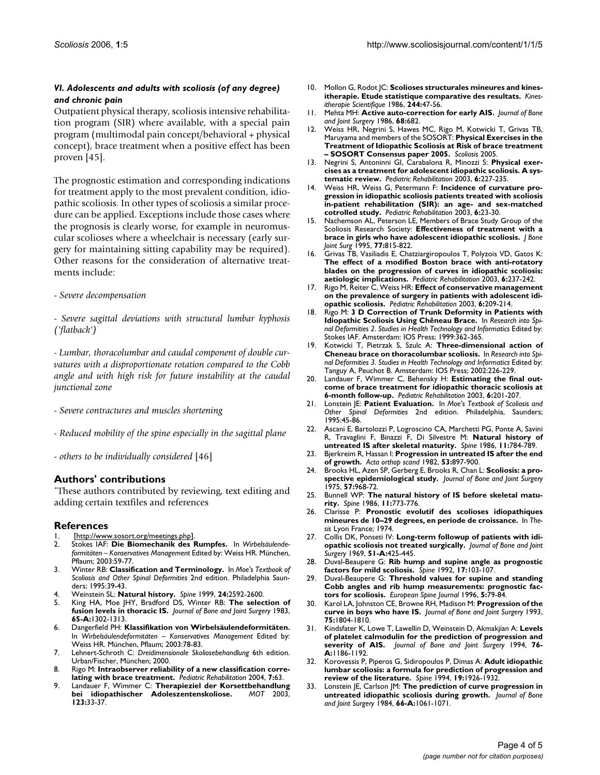# *VI. Adolescents and adults with scoliosis (of any degree) and chronic pain*

Outpatient physical therapy, scoliosis intensive rehabilitation program (SIR) where available, with a special pain program (multimodal pain concept/behavioral + physical concept), brace treatment when a positive effect has been proven [45].

The prognostic estimation and corresponding indications for treatment apply to the most prevalent condition, idiopathic scoliosis. In other types of scoliosis a similar procedure can be applied. Exceptions include those cases where the prognosis is clearly worse, for example in neuromuscular scolioses where a wheelchair is necessary (early surgery for maintaining sitting capability may be required). Other reasons for the consideration of alternative treatments include:

# - *Severe decompensation*

- *Severe sagittal deviations with structural lumbar kyphosis ('flatback')*

- *Lumbar, thoracolumbar and caudal component of double curvatures with a disproportionate rotation compared to the Cobb angle and with high risk for future instability at the caudal junctional zone*

- *Severe contractures and muscles shortening*
- *Reduced mobility of the spine especially in the sagittal plane*
- *others to be individually considered* [46]

# **Authors' contributions**

\*These authors contributed by reviewing, text editing and adding certain textfiles and references

# **References**

- 1. [\[http://www.sosort.org/meetings.php\]](http://www.sosort.org/meetings.php).<br>2. Stokes IAF: **Die Biomechanik des**
- 2. Stokes IAF: **Die Biomechanik des Rumpfes.** In *Wirbelsäulendeformitäten – Konservatives Management* Edited by: Weiss HR. München, Pflaum; 2003:59-77.
- 3. Winter RB: **Classification and Terminology.** In *Moe's Textbook of Scoliosis and Other Spinal Deformities* 2nd edition. Philadelphia Saunders; 1995:39-43.
- 4. Weinstein SL: **[Natural history.](http://www.ncbi.nlm.nih.gov/entrez/query.fcgi?cmd=Retrieve&db=PubMed&dopt=Abstract&list_uids=10635522)** *Spine* 1999, **24:**2592-2600.
- 5. King HA, Moe JHY, Bradford DS, Winter RB: **The selection of fusion levels in thoracic IS.** *Journal of Bone and Joint Surgery* 1983, **65-A:**1302-1313.
- 6. Dangerfield PH: **Klassifikation von Wirbelsäulendeformitäten.** In *Wirbelsäulendeformitäten – Konservatives Management* Edited by: Weiss HR. München, Pflaum; 2003:78-83.
- 7. Lehnert-Schroth C: *Dreidimensionale Skoliosebehandlung* 6th edition. Urban/Fischer, München; 2000.
- 8. Rigo M: **Intraobserver reliability of a new classification correlating with brace treatment.** *Pediatric Rehabilitation* 2004, **7:**63.
- Landauer F, Wimmer C: Therapieziel der Korsettbehandlung<br>bei idiopathischer Adoleszentenskoliose. MOT 2003, bei idiopathischer Adoleszentenskoliose. **123:**33-37.
- 10. Mollon G, Rodot | C: Scolioses structurales mineures and kines**itherapie. Etude statistique comparative des resultats.** *Kinesitherapie Scientifique* 1986, **244:**47-56.
- 11. Mehta MH: **Active auto-correction for early AIS.** *Journal of Bone and Joint Surgery* 1986, **68:**682.
- 12. Weiss HR, Negrini S, Hawes MC, Rigo M, Kotwicki T, Grivas TB, Maruyama and members of the SOSORT: **Physical Exercises in the Treatment of Idiopathic Scoliosis at Risk of brace treatment – SOSORT Consensus paper 2005.** *Scoliosis* 2005.
- 13. Negrini S, Antoninni GI, Carabalona R, Minozzi S: **[Physical exer](http://www.ncbi.nlm.nih.gov/entrez/query.fcgi?cmd=Retrieve&db=PubMed&dopt=Abstract&list_uids=14713590)[cises as a treatment for adolescent idiopathic scoliosis. A sys](http://www.ncbi.nlm.nih.gov/entrez/query.fcgi?cmd=Retrieve&db=PubMed&dopt=Abstract&list_uids=14713590)[tematic review.](http://www.ncbi.nlm.nih.gov/entrez/query.fcgi?cmd=Retrieve&db=PubMed&dopt=Abstract&list_uids=14713590)** *Pediatric Rehabilitation* 2003, **6:**227-235.
- 14. Weiss HR, Weiss G, Petermann F: **[Incidence of curvature pro](http://www.ncbi.nlm.nih.gov/entrez/query.fcgi?cmd=Retrieve&db=PubMed&dopt=Abstract&list_uids=12745892)[gression in idiopathic scoliosis patients treated with scoliosis](http://www.ncbi.nlm.nih.gov/entrez/query.fcgi?cmd=Retrieve&db=PubMed&dopt=Abstract&list_uids=12745892) in-patient rehabilitation (SIR): an age- and sex-matched [cotrolled study.](http://www.ncbi.nlm.nih.gov/entrez/query.fcgi?cmd=Retrieve&db=PubMed&dopt=Abstract&list_uids=12745892)** *Pediatric Rehabilitation* 2003, **6:**23-30.
- 15. Nachemson AL, Peterson LE, Members of Brace Study Group of the Scoliosis Research Society: **[Effectiveness of treatment with a](http://www.ncbi.nlm.nih.gov/entrez/query.fcgi?cmd=Retrieve&db=PubMed&dopt=Abstract&list_uids=7782353) [brace in girls who have adolescent idiopathic scoliosis.](http://www.ncbi.nlm.nih.gov/entrez/query.fcgi?cmd=Retrieve&db=PubMed&dopt=Abstract&list_uids=7782353)** *J Bone Joint Surg* 1995, **77:**815-822.
- 16. Grivas TB, Vasiliadis E, Chatziargiropoulos T, Polyzois VD, Gatos K: **[The effect of a modified Boston brace with anti-rotatory](http://www.ncbi.nlm.nih.gov/entrez/query.fcgi?cmd=Retrieve&db=PubMed&dopt=Abstract&list_uids=14713591) blades on the progression of curves in idiopathic scoliosis: [aetiologic implications.](http://www.ncbi.nlm.nih.gov/entrez/query.fcgi?cmd=Retrieve&db=PubMed&dopt=Abstract&list_uids=14713591)** *Pediatric Rehabilitation* 2003, **6:**237-242.
- 17. Rigo M, Reiter C, Weiss HR: **[Effect of conservative management](http://www.ncbi.nlm.nih.gov/entrez/query.fcgi?cmd=Retrieve&db=PubMed&dopt=Abstract&list_uids=14713587) [on the prevalence of surgery in patients with adolescent idi](http://www.ncbi.nlm.nih.gov/entrez/query.fcgi?cmd=Retrieve&db=PubMed&dopt=Abstract&list_uids=14713587)[opathic scoliosis.](http://www.ncbi.nlm.nih.gov/entrez/query.fcgi?cmd=Retrieve&db=PubMed&dopt=Abstract&list_uids=14713587)** *Pediatric Rehabilitation* 2003, **6:**209-214.
- 18. Rigo M: **3 D Correction of Trunk Deformity in Patients with Idiopathic Scoliosis Using Chêneau Brace.** In *Research into Spinal Deformities 2. Studies in Health Technology and Informatics* Edited by: Stokes IAF. Amsterdam: IOS Press; 1999:362-365.
- 19. Kotwicki T, Pietrzak S, Szulc A: **Three-dimensional action of Cheneau brace on thoracolumbar scoliosis.** In *Research into Spinal Deformities 3. Studies in Health Technology and Informatics* Edited by: Tanguy A, Peuchot B. Amsterdam: IOS Press; 2002:226-229.
- 20. Landauer F, Wimmer C, Behensky H: **[Estimating the final out](http://www.ncbi.nlm.nih.gov/entrez/query.fcgi?cmd=Retrieve&db=PubMed&dopt=Abstract&list_uids=14713586)[come of brace treatment for idiopathic thoracic scoliosis at](http://www.ncbi.nlm.nih.gov/entrez/query.fcgi?cmd=Retrieve&db=PubMed&dopt=Abstract&list_uids=14713586) [6-month follow-up.](http://www.ncbi.nlm.nih.gov/entrez/query.fcgi?cmd=Retrieve&db=PubMed&dopt=Abstract&list_uids=14713586)** *Pediatric Rehabilitation* 2003, **6:**201-207.
- 21. Lonstein JE: **Patient Evaluation.** In *Moe's Textbook of Scoliosis and Other Spinal Deformities* 2nd edition. Philadelphia, Saunders; 1995:45-86.
- 22. Ascani E, Bartolozzi P, Logroscino CA, Marchetti PG, Ponte A, Savini R, Travaglini F, Binazzi F, Di Silvestre M: **[Natural history of](http://www.ncbi.nlm.nih.gov/entrez/query.fcgi?cmd=Retrieve&db=PubMed&dopt=Abstract&list_uids=3810293) [untreated IS after skeletal maturity.](http://www.ncbi.nlm.nih.gov/entrez/query.fcgi?cmd=Retrieve&db=PubMed&dopt=Abstract&list_uids=3810293)** *Spine* 1986, **11:**784-789.
- 23. Bjerkreim R, Hassan I: **[Progression in untreated IS after the end](http://www.ncbi.nlm.nih.gov/entrez/query.fcgi?cmd=Retrieve&db=PubMed&dopt=Abstract&list_uids=7180400) [of growth.](http://www.ncbi.nlm.nih.gov/entrez/query.fcgi?cmd=Retrieve&db=PubMed&dopt=Abstract&list_uids=7180400)** *Acta orthop scand* 1982, **53:**897-900.
- 24. Brooks HL, Azen SP, Gerberg E, Brooks R, Chan L: **Scoliosis: a prospective epidemiological study.** *Journal of Bone and Joint Surgery* 1975, **57:**968-72.
- 25. Bunnell WP: **[The natural history of IS before skeletal matu](http://www.ncbi.nlm.nih.gov/entrez/query.fcgi?cmd=Retrieve&db=PubMed&dopt=Abstract&list_uids=3810290)[rity.](http://www.ncbi.nlm.nih.gov/entrez/query.fcgi?cmd=Retrieve&db=PubMed&dopt=Abstract&list_uids=3810290)** *Spine* 1986, **11:**773-776.
- 26. Clarisse P: **Pronostic evolutif des scolioses idiopathiques mineures de 10–29 degrees, en periode de croissance.** In *Thesis* Lyon France; 1974.
- 27. Collis DK, Ponseti IV: **Long-term followup of patients with idiopathic scoliosis not treated surgically.** *Journal of Bone and Joint Surgery* 1969, **51-A:**425-445.
- 28. Duval-Beaupere G: **[Rib hump and supine angle as prognostic](http://www.ncbi.nlm.nih.gov/entrez/query.fcgi?cmd=Retrieve&db=PubMed&dopt=Abstract&list_uids=1536009) [factors for mild scoliosis.](http://www.ncbi.nlm.nih.gov/entrez/query.fcgi?cmd=Retrieve&db=PubMed&dopt=Abstract&list_uids=1536009)** *Spine* 1992, **17:**103-107.
- 29. Duval-Beaupere G: **[Threshold values for supine and standing](http://www.ncbi.nlm.nih.gov/entrez/query.fcgi?cmd=Retrieve&db=PubMed&dopt=Abstract&list_uids=8724186) [Cobb angles and rib hump measurements: prognostic fac](http://www.ncbi.nlm.nih.gov/entrez/query.fcgi?cmd=Retrieve&db=PubMed&dopt=Abstract&list_uids=8724186)[tors for scoliosis.](http://www.ncbi.nlm.nih.gov/entrez/query.fcgi?cmd=Retrieve&db=PubMed&dopt=Abstract&list_uids=8724186)** *European Spine Journal* 1996, **5:**79-84.
- Karol LA, Johnston CE, Browne RH, Madison M: **Progression of the curve in boys who have IS.** *Journal of Bone and Joint Surgery* 1993, **75:**1804-1810.
- 31. Kindsfater K, Lowe T, Lawellin D, Weinstein D, Akmakjian A: **Levels of platelet calmodulin for the prediction of progression and severity of AIS.** *Journal of Bone and Joint Surgery* 1994, **76- A:**1186-1192.
- 32. Korovessis P, Piperos G, Sidiropoulos P, Dimas A: **[Adult idiopathic](http://www.ncbi.nlm.nih.gov/entrez/query.fcgi?cmd=Retrieve&db=PubMed&dopt=Abstract&list_uids=7997925) [lumbar scoliosis: a formula for prediction of progression and](http://www.ncbi.nlm.nih.gov/entrez/query.fcgi?cmd=Retrieve&db=PubMed&dopt=Abstract&list_uids=7997925) [review of the literature.](http://www.ncbi.nlm.nih.gov/entrez/query.fcgi?cmd=Retrieve&db=PubMed&dopt=Abstract&list_uids=7997925)** *Spine* 1994, **19:**1926-1932.
- 33. Lonstein JE, Carlson JM: **The prediction of curve progression in untreated idiopathic scoliosis during growth.** *Journal of Bone and Joint Surgery* 1984, **66-A:**1061-1071.